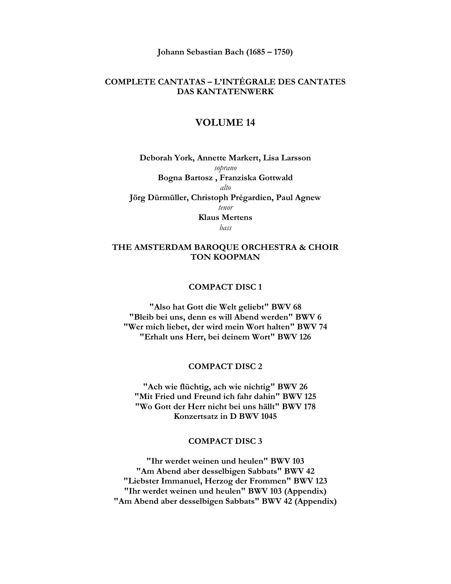**Johann Sebastian Bach (1685 – 1750)** 

# **COMPLETE CANTATAS – L'INTÉGRALE DES CANTATES DAS KANTATENWERK**

## **VOLUME 14**

**Deborah York, Annette Markert, Lisa Larsson**  *soprano*  **Bogna Bartosz , Franziska Gottwald**  *alto*  **Jörg Dürmüller, Christoph Prégardien, Paul Agnew**  *tenor*  **Klaus Mertens**  *bass* 

## **THE AMSTERDAM BAROQUE ORCHESTRA & CHOIR TON KOOPMAN**

#### **COMPACT DISC 1**

**"Also hat Gott die Welt geliebt" BWV 68 "Bleib bei uns, denn es will Abend werden" BWV 6 "Wer mich liebet, der wird mein Wort halten" BWV 74 "Erhalt uns Herr, bei deinem Wort" BWV 126** 

### **COMPACT DISC 2**

**"Ach wie flüchtig, ach wie nichtig" BWV 26 "Mit Fried und Freund ich fahr dahin" BWV 125 "Wo Gott der Herr nicht bei uns hällt" BWV 178 Konzertsatz in D BWV 1045**

#### **COMPACT DISC 3**

**"Ihr werdet weinen und heulen" BWV 103 "Am Abend aber desselbigen Sabbats" BWV 42 "Liebster Immanuel, Herzog der Frommen" BWV 123 "Ihr werdet weinen und heulen" BWV 103 (Appendix) "Am Abend aber desselbigen Sabbats" BWV 42 (Appendix)**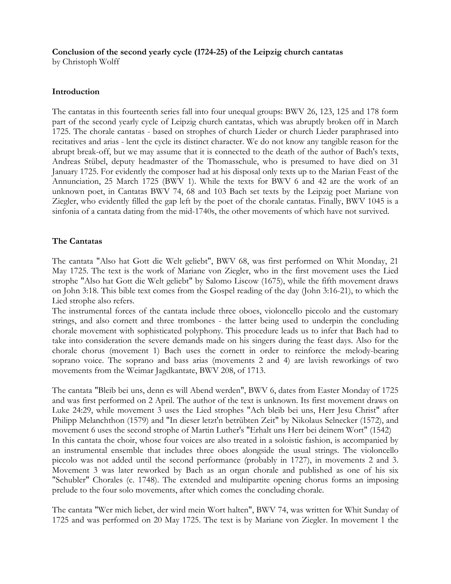# **Conclusion of the second yearly cycle (1724-25) of the Leipzig church cantatas**

by Christoph Wolff

# **Introduction**

The cantatas in this fourteenth series fall into four unequal groups: BWV 26, 123, 125 and 178 form part of the second yearly cycle of Leipzig church cantatas, which was abruptly broken off in March 1725. The chorale cantatas - based on strophes of church Lieder or church Lieder paraphrased into recitatives and arias - lent the cycle its distinct character. We do not know any tangible reason for the abrupt break-off, but we may assume that it is connected to the death of the author of Bach's texts, Andreas Stübel, deputy headmaster of the Thomasschule, who is presumed to have died on 31 January 1725. For evidently the composer had at his disposal only texts up to the Marian Feast of the Annunciation, 25 March 1725 (BWV 1). While the texts for BWV 6 and 42 are the work of an unknown poet, in Cantatas BWV 74, 68 and 103 Bach set texts by the Leipzig poet Mariane von Ziegler, who evidently filled the gap left by the poet of the chorale cantatas. Finally, BWV 1045 is a sinfonia of a cantata dating from the mid-1740s, the other movements of which have not survived.

# **The Cantatas**

The cantata "Also hat Gott die Welt geliebt", BWV 68, was first performed on Whit Monday, 21 May 1725. The text is the work of Mariane von Ziegler, who in the first movement uses the Lied strophe "Also hat Gott die Welt geliebt" by Salomo Liscow (1675), while the fifth movement draws on John 3:18. This bible text comes from the Gospel reading of the day (John 3:16-21), to which the Lied strophe also refers.

The instrumental forces of the cantata include three oboes, violoncello piccolo and the customary strings, and also cornett and three trombones - the latter being used to underpin the concluding chorale movement with sophisticated polyphony. This procedure leads us to infer that Bach had to take into consideration the severe demands made on his singers during the feast days. Also for the chorale chorus (movement 1) Bach uses the cornett in order to reinforce the melody-bearing soprano voice. The soprano and bass arias (movements 2 and 4) are lavish reworkings of two movements from the Weimar Jagdkantate, BWV 208, of 1713.

The cantata "Bleib bei uns, denn es will Abend werden", BWV 6, dates from Easter Monday of 1725 and was first performed on 2 April. The author of the text is unknown. Its first movement draws on Luke 24:29, while movement 3 uses the Lied strophes "Ach bleib bei uns, Herr Jesu Christ" after Philipp Melanchthon (1579) and "In dieser letzt'n betrübten Zeit" by Nikolaus Selnecker (1572), and movement 6 uses the second strophe of Martin Luther's "Erhalt uns Herr bei deinem Wort" (1542) In this cantata the choir, whose four voices are also treated in a soloistic fashion, is accompanied by an instrumental ensemble that includes three oboes alongside the usual strings. The violoncello piccolo was not added until the second performance (probably in 1727), in movements 2 and 3. Movement 3 was later reworked by Bach as an organ chorale and published as one of his six "Schubler" Chorales (c. 1748). The extended and multipartite opening chorus forms an imposing prelude to the four solo movements, after which comes the concluding chorale.

The cantata "Wer mich liebet, der wird mein Wort halten", BWV 74, was written for Whit Sunday of 1725 and was performed on 20 May 1725. The text is by Mariane von Ziegler. In movement 1 the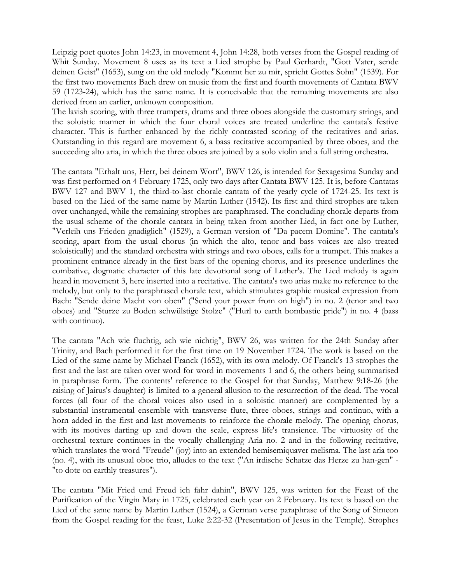Leipzig poet quotes John 14:23, in movement 4, John 14:28, both verses from the Gospel reading of Whit Sunday. Movement 8 uses as its text a Lied strophe by Paul Gerhardt, "Gott Vater, sende deinen Geist" (1653), sung on the old melody "Kommt her zu mir, spricht Gottes Sohn" (1539). For the first two movements Bach drew on music from the first and fourth movements of Cantata BWV 59 (1723-24), which has the same name. It is conceivable that the remaining movements are also derived from an earlier, unknown composition.

The lavish scoring, with three trumpets, drums and three oboes alongside the customary strings, and the soloistic manner in which the four choral voices are treated underline the cantata's festive character. This is further enhanced by the richly contrasted scoring of the recitatives and arias. Outstanding in this regard are movement 6, a bass recitative accompanied by three oboes, and the succeeding alto aria, in which the three oboes are joined by a solo violin and a full string orchestra.

The cantata "Erhalt uns, Herr, bei deinem Wort", BWV 126, is intended for Sexagesima Sunday and was first performed on 4 February 1725, only two days after Cantata BWV 125. It is, before Cantatas BWV 127 and BWV 1, the third-to-last chorale cantata of the yearly cycle of 1724-25. Its text is based on the Lied of the same name by Martin Luther (1542). Its first and third strophes are taken over unchanged, while the remaining strophes are paraphrased. The concluding chorale departs from the usual scheme of the chorale cantata in being taken from another Lied, in fact one by Luther, "Verleih uns Frieden gnadiglich" (1529), a German version of "Da pacem Domine". The cantata's scoring, apart from the usual chorus (in which the alto, tenor and bass voices are also treated soloistically) and the standard orchestra with strings and two oboes, calls for a trumpet. This makes a prominent entrance already in the first bars of the opening chorus, and its presence underlines the combative, dogmatic character of this late devotional song of Luther's. The Lied melody is again heard in movement 3, here inserted into a recitative. The cantata's two arias make no reference to the melody, but only to the paraphrased chorale text, which stimulates graphic musical expression from Bach: "Sende deine Macht von oben" ("Send your power from on high") in no. 2 (tenor and two oboes) and "Sturze zu Boden schwülstige Stolze" ("Hurl to earth bombastic pride") in no. 4 (bass with continuo).

The cantata "Ach wie fluchtig, ach wie nichtig", BWV 26, was written for the 24th Sunday after Trinity, and Bach performed it for the first time on 19 November 1724. The work is based on the Lied of the same name by Michael Franck (1652), with its own melody. Of Franck's 13 strophes the first and the last are taken over word for word in movements 1 and 6, the others being summarised in paraphrase form. The contents' reference to the Gospel for that Sunday, Matthew 9:18-26 (the raising of Jairus's daughter) is limited to a general allusion to the resurrection of the dead. The vocal forces (all four of the choral voices also used in a soloistic manner) are complemented by a substantial instrumental ensemble with transverse flute, three oboes, strings and continuo, with a horn added in the first and last movements to reinforce the chorale melody. The opening chorus, with its motives darting up and down the scale, express life's transience. The virtuosity of the orchestral texture continues in the vocally challenging Aria no. 2 and in the following recitative, which translates the word "Freude" (joy) into an extended hemisemiquaver melisma. The last aria too (no. 4), with its unusual oboe trio, alludes to the text ("An irdische Schatze das Herze zu han-gen" - "to dote on earthly treasures").

The cantata "Mit Fried und Freud ich fahr dahin", BWV 125, was written for the Feast of the Purification of the Virgin Mary in 1725, celebrated each year on 2 February. Its text is based on the Lied of the same name by Martin Luther (1524), a German verse paraphrase of the Song of Simeon from the Gospel reading for the feast, Luke 2:22-32 (Presentation of Jesus in the Temple). Strophes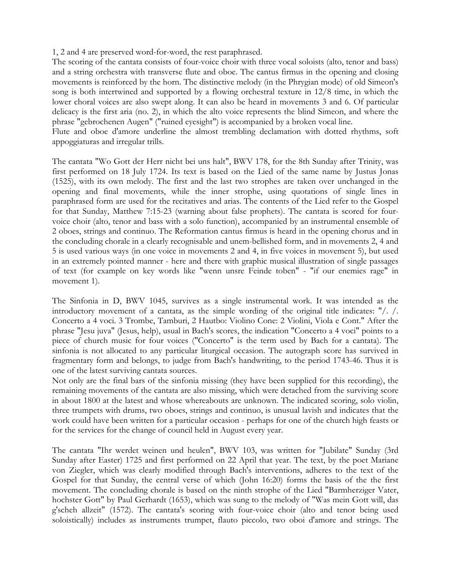1, 2 and 4 are preserved word-for-word, the rest paraphrased.

The scoring of the cantata consists of four-voice choir with three vocal soloists (alto, tenor and bass) and a string orchestra with transverse flute and oboe. The cantus firmus in the opening and closing movements is reinforced by the horn. The distinctive melody (in the Phrygian mode) of old Simeon's song is both intertwined and supported by a flowing orchestral texture in 12/8 time, in which the lower choral voices are also swept along. It can also be heard in movements 3 and 6. Of particular delicacy is the first aria (no. 2), in which the alto voice represents the blind Simeon, and where the phrase "gebrochenen Augen" ("ruined eyesight") is accompanied by a broken vocal line.

Flute and oboe d'amore underline the almost trembling declamation with dotted rhythms, soft appoggiaturas and irregular trills.

The cantata "Wo Gott der Herr nicht bei uns halt", BWV 178, for the 8th Sunday after Trinity, was first performed on 18 July 1724. Its text is based on the Lied of the same name by Justus Jonas (1525), with its own melody. The first and the last two strophes are taken over unchanged in the opening and final movements, while the inner strophe, using quotations of single lines in paraphrased form are used for the recitatives and arias. The contents of the Lied refer to the Gospel for that Sunday, Matthew 7:15-23 (warning about false prophets). The cantata is scored for fourvoice choir (alto, tenor and bass with a solo function), accompanied by an instrumental ensemble of 2 oboes, strings and continuo. The Reformation cantus firmus is heard in the opening chorus and in the concluding chorale in a clearly recognisable and unem-bellished form, and in movements 2, 4 and 5 is used various ways (in one voice in movements 2 and 4, in five voices in movement 5), but used in an extremely pointed manner - here and there with graphic musical illustration of single passages of text (for example on key words like "wenn unsre Feinde toben" - "if our enemies rage" in movement 1).

The Sinfonia in D, BWV 1045, survives as a single instrumental work. It was intended as the introductory movement of a cantata, as the simple wording of the original title indicates: "/. /. Concerto a 4 voci. 3 Trombe, Tamburi, 2 Hautbo: Violino Cone: 2 Violini, Viola e Cont." After the phrase "Jesu juva" (Jesus, help), usual in Bach's scores, the indication "Concerto a 4 voci" points to a piece of church music for four voices ("Concerto" is the term used by Bach for a cantata). The sinfonia is not allocated to any particular liturgical occasion. The autograph score has survived in fragmentary form and belongs, to judge from Bach's handwriting, to the period 1743-46. Thus it is one of the latest surviving cantata sources.

Not only are the final bars of the sinfonia missing (they have been supplied for this recording), the remaining movements of the cantata are also missing, which were detached from the surviving score in about 1800 at the latest and whose whereabouts are unknown. The indicated scoring, solo violin, three trumpets with drums, two oboes, strings and continuo, is unusual lavish and indicates that the work could have been written for a particular occasion - perhaps for one of the church high feasts or for the services for the change of council held in August every year.

The cantata "Ihr werdet weinen und heulen", BWV 103, was written for "Jubilate" Sunday (3rd Sunday after Easter) 1725 and first performed on 22 April that year. The text, by the poet Mariane von Ziegler, which was clearly modified through Bach's interventions, adheres to the text of the Gospel for that Sunday, the central verse of which (John 16:20) forms the basis of the the first movement. The concluding chorale is based on the ninth strophe of the Lied "Barmherziger Vater, hochster Gott" by Paul Gerhardt (1653), which was sung to the melody of "Was mein Gott will, das g'scheh allzeit" (1572). The cantata's scoring with four-voice choir (alto and tenor being used soloistically) includes as instruments trumpet, flauto piccolo, two oboi d'amore and strings. The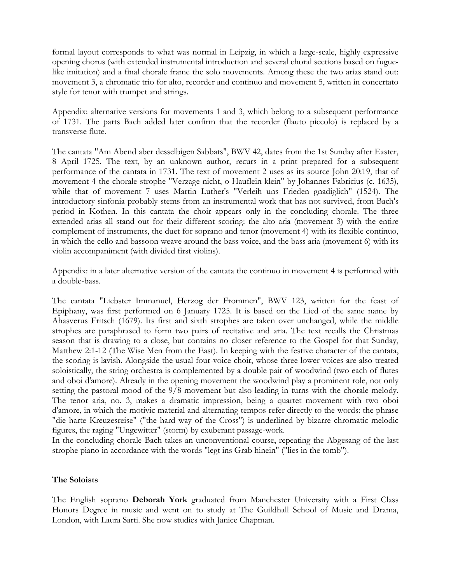formal layout corresponds to what was normal in Leipzig, in which a large-scale, highly expressive opening chorus (with extended instrumental introduction and several choral sections based on fuguelike imitation) and a final chorale frame the solo movements. Among these the two arias stand out: movement 3, a chromatic trio for alto, recorder and continuo and movement 5, written in concertato style for tenor with trumpet and strings.

Appendix: alternative versions for movements 1 and 3, which belong to a subsequent performance of 1731. The parts Bach added later confirm that the recorder (flauto piccolo) is replaced by a transverse flute.

The cantata "Am Abend aber desselbigen Sabbats", BWV 42, dates from the 1st Sunday after Easter, 8 April 1725. The text, by an unknown author, recurs in a print prepared for a subsequent performance of the cantata in 1731. The text of movement 2 uses as its source John 20:19, that of movement 4 the chorale strophe "Verzage nicht, o Hauflein klein" by Johannes Fabricius (c. 1635), while that of movement 7 uses Martin Luther's "Verleih uns Frieden gnadiglich" (1524). The introductory sinfonia probably stems from an instrumental work that has not survived, from Bach's period in Kothen. In this cantata the choir appears only in the concluding chorale. The three extended arias all stand out for their different scoring: the alto aria (movement 3) with the entire complement of instruments, the duet for soprano and tenor (movement 4) with its flexible continuo, in which the cello and bassoon weave around the bass voice, and the bass aria (movement 6) with its violin accompaniment (with divided first violins).

Appendix: in a later alternative version of the cantata the continuo in movement 4 is performed with a double-bass.

The cantata "Liebster Immanuel, Herzog der Frommen", BWV 123, written for the feast of Epiphany, was first performed on 6 January 1725. It is based on the Lied of the same name by Ahasverus Fritsch (1679). Its first and sixth strophes are taken over unchanged, while the middle strophes are paraphrased to form two pairs of recitative and aria. The text recalls the Christmas season that is drawing to a close, but contains no closer reference to the Gospel for that Sunday, Matthew 2:1-12 (The Wise Men from the East). In keeping with the festive character of the cantata, the scoring is lavish. Alongside the usual four-voice choir, whose three lower voices are also treated soloistically, the string orchestra is complemented by a double pair of woodwind (two each of flutes and oboi d'amore). Already in the opening movement the woodwind play a prominent role, not only setting the pastoral mood of the 9/8 movement but also leading in turns with the chorale melody. The tenor aria, no. 3, makes a dramatic impression, being a quartet movement with two oboi d'amore, in which the motivic material and alternating tempos refer directly to the words: the phrase "die harte Kreuzesreise" ("the hard way of the Cross") is underlined by bizarre chromatic melodic figures, the raging "Ungewitter" (storm) by exuberant passage-work.

In the concluding chorale Bach takes an unconventional course, repeating the Abgesang of the last strophe piano in accordance with the words "legt ins Grab hinein" ("lies in the tomb").

### **The Soloists**

The English soprano **Deborah York** graduated from Manchester University with a First Class Honors Degree in music and went on to study at The Guildhall School of Music and Drama, London, with Laura Sarti. She now studies with Janice Chapman.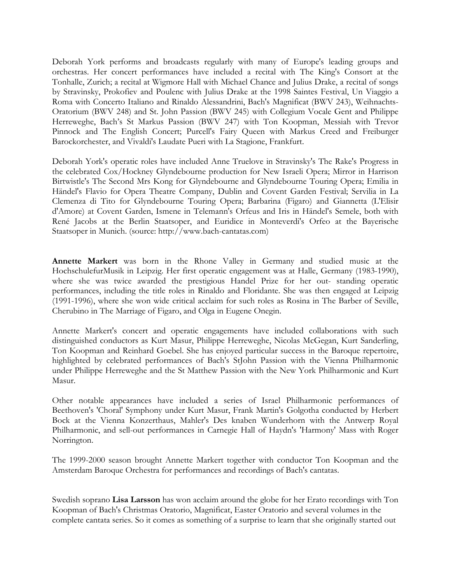Deborah York performs and broadcasts regularly with many of Europe's leading groups and orchestras. Her concert performances have included a recital with The King's Consort at the Tonhalle, Zurich; a recital at Wigmore Hall with Michael Chance and Julius Drake, a recital of songs by Stravinsky, Prokofiev and Poulenc with Julius Drake at the 1998 Saintes Festival, Un Viaggio a Roma with Concerto Italiano and Rinaldo Alessandrini, Bach's Magnificat (BWV 243), Weihnachts-Oratorium (BWV 248) and St. John Passion (BWV 245) with Collegium Vocale Gent and Philippe Herreweghe, Bach's St Markus Passion (BWV 247) with Ton Koopman, Messiah with Trevor Pinnock and The English Concert; Purcell's Fairy Queen with Markus Creed and Freiburger Barockorchester, and Vivaldi's Laudate Pueri with La Stagione, Frankfurt.

Deborah York's operatic roles have included Anne Truelove in Stravinsky's The Rake's Progress in the celebrated Cox/Hockney Glyndebourne production for New Israeli Opera; Mirror in Harrison Birtwistle's The Second Mrs Kong for Glyndebourne and Glyndebourne Touring Opera; Emilia in Händel's Flavio for Opera Theatre Company, Dublin and Covent Garden Festival; Servilia in La Clemenza di Tito for Glyndebourne Touring Opera; Barbarina (Figaro) and Giannetta (L'Elisir d'Amore) at Covent Garden, Ismene in Telemann's Orfeus and Iris in Händel's Semele, both with René Jacobs at the Berlin Staatsoper, and Euridice in Monteverdi's Orfeo at the Bayerische Staatsoper in Munich. (source: http://www.bach-cantatas.com)

**Annette Markert** was born in the Rhone Valley in Germany and studied music at the HochschulefurMusik in Leipzig. Her first operatic engagement was at Halle, Germany (1983-1990), where she was twice awarded the prestigious Handel Prize for her out- standing operatic performances, including the title roles in Rinaldo and Floridante. She was then engaged at Leipzig (1991-1996), where she won wide critical acclaim for such roles as Rosina in The Barber of Seville, Cherubino in The Marriage of Figaro, and Olga in Eugene Onegin.

Annette Markert's concert and operatic engagements have included collaborations with such distinguished conductors as Kurt Masur, Philippe Herreweghe, Nicolas McGegan, Kurt Sanderling, Ton Koopman and Reinhard Goebel. She has enjoyed particular success in the Baroque repertoire, highlighted by celebrated performances of Bach's StJohn Passion with the Vienna Philharmonic under Philippe Herreweghe and the St Matthew Passion with the New York Philharmonic and Kurt Masur.

Other notable appearances have included a series of Israel Philharmonic performances of Beethoven's 'Choral' Symphony under Kurt Masur, Frank Martin's Golgotha conducted by Herbert Bock at the Vienna Konzerthaus, Mahler's Des knaben Wunderhorn with the Antwerp Royal Philharmonic, and sell-out performances in Carnegie Hall of Haydn's 'Harmony' Mass with Roger Norrington.

The 1999-2000 season brought Annette Markert together with conductor Ton Koopman and the Amsterdam Baroque Orchestra for performances and recordings of Bach's cantatas.

Swedish soprano **Lisa Larsson** has won acclaim around the globe for her Erato recordings with Ton Koopman of Bach's Christmas Oratorio, Magnificat, Easter Oratorio and several volumes in the complete cantata series. So it comes as something of a surprise to learn that she originally started out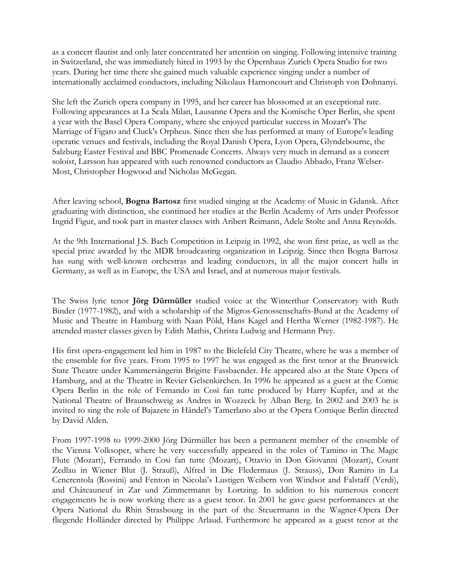as a concert flautist and only later concentrated her attention on singing. Following intensive training in Switzerland, she was immediately hired in 1993 by the Opernhaus Zurich Opera Studio for two years. During her time there she gained much valuable experience singing under a number of internationally acclaimed conductors, including Nikolaus Harnoncourt and Christoph von Dohnanyi.

She left the Zurich opera company in 1995, and her career has blossomed at an exceptional rate. Following appearances at La Scala Milan, Lausanne Opera and the Komische Oper Berlin, she spent a year with the Basel Opera Company, where she enjoyed particular success in Mozart's The Marriage of Figaro and Cluck's Orpheus. Since then she has performed at many of Europe's leading operatic venues and festivals, including the Royal Danish Opera, Lyon Opera, Glyndebourne, the Salzburg Easter Festival and BBC Promenade Concerts. Always very much in demand as a concert soloist, Larsson has appeared with such renowned conductors as Claudio Abbado, Franz Welser-Most, Christopher Hogwood and Nicholas McGegan.

After leaving school, **Bogna Bartosz** first studied singing at the Academy of Music in Gdansk. After graduating with distinction, she continued her studies at the Berlin Academy of Arts under Professor Ingrid Figur, and took part in master classes with Aribert Reimann, Adele Stolte and Anna Reynolds.

At the 9th International J.S. Bach Competition in Leipzig in 1992, she won first prize, as well as the special prize awarded by the MDR broadcasting organization in Leipzig. Since then Bogna Bartosz has sung with well-known orchestras and leading conductors, in all the major concert halls in Germany, as well as in Europe, the USA and Israel, and at numerous major festivals.

The Swiss lyric tenor **Jörg Dürmüller** studied voice at the Winterthur Conservatory with Ruth Binder (1977-1982), and with a scholarship of the Migros-Genossenschafts-Bund at the Academy of Music and Theatre in Hamburg with Naan Pöld, Hans Kagel and Hertha Werner (1982-1987). He attended master classes given by Edith Mathis, Christa Ludwig and Hermann Prey.

His first opera-engagement led him in 1987 to the Bielefeld City Theatre, where he was a member of the ensemble for five years. From 1995 to 1997 he was engaged as the first tenor at the Brunswick State Theatre under Kammersängerin Brigitte Fassbaender. He appeared also at the State Opera of Hamburg, and at the Theatre in Revier Gelsenkirchen. In 1996 he appeared as a guest at the Comic Opera Berlin in the role of Fernando in Così fan tutte produced by Harry Kupfer, and at the National Theatre of Braunschweig as Andres in Wozzeck by Alban Berg. In 2002 and 2003 he is invited to sing the role of Bajazete in Händel's Tamerlano also at the Opera Comique Berlin directed by David Alden.

From 1997-1998 to 1999-2000 Jörg Dürmüller has been a permanent member of the ensemble of the Vienna Volksoper, where he very successfully appeared in the roles of Tamino in The Magic Flute (Mozart), Ferrando in Cosi fan tutte (Mozart), Ottavio in Don Giovanni (Mozart), Count Zedlau in Wiener Blut (J. Strauß), Alfred in Die Fledermaus (J. Strauss), Don Ramiro in La Cenerentola (Rossini) and Fenton in Nicolai's Lustigen Weibern von Windsor and Falstaff (Verdi), and Châteauneuf in Zar und Zimmermann by Lortzing. In addition to his numerous concert engagements he is now working there as a guest tenor. In 2001 he gave guest performances at the Opera National du Rhin Strasbourg in the part of the Steuermann in the Wagner-Opera Der fliegende Holländer directed by Philippe Arlaud. Furthermore he appeared as a guest tenor at the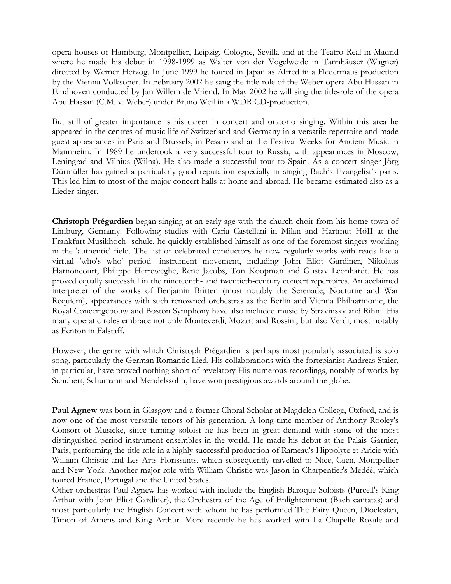opera houses of Hamburg, Montpellier, Leipzig, Cologne, Sevilla and at the Teatro Real in Madrid where he made his debut in 1998-1999 as Walter von der Vogelweide in Tannhäuser (Wagner) directed by Werner Herzog. In June 1999 he toured in Japan as Alfred in a Fledermaus production by the Vienna Volksoper. In February 2002 he sang the title-role of the Weber-opera Abu Hassan in Eindhoven conducted by Jan Willem de Vriend. In May 2002 he will sing the title-role of the opera Abu Hassan (C.M. v. Weber) under Bruno Weil in a WDR CD-production.

But still of greater importance is his career in concert and oratorio singing. Within this area he appeared in the centres of music life of Switzerland and Germany in a versatile repertoire and made guest appearances in Paris and Brussels, in Pesaro and at the Festival Weeks for Ancient Music in Mannheim. In 1989 he undertook a very successful tour to Russia, with appearances in Moscow, Leningrad and Vilnius (Wilna). He also made a successful tour to Spain. As a concert singer Jörg Dürmüller has gained a particularly good reputation especially in singing Bach's Evangelist's parts. This led him to most of the major concert-halls at home and abroad. He became estimated also as a Lieder singer.

**Christoph Prégardien** began singing at an early age with the church choir from his home town of Limburg, Germany. Following studies with Caria Castellani in Milan and Hartmut HöII at the Frankfurt Musikhoch- schule, he quickly established himself as one of the foremost singers working in the 'authentic' field. The list of celebrated conductors he now regularly works with reads like a virtual 'who's who' period- instrument movement, including John Eliot Gardiner, Nikolaus Harnoncourt, Philippe Herreweghe, Rene Jacobs, Ton Koopman and Gustav Leonhardt. He has proved equally successful in the nineteenth- and twentieth-century concert repertoires. An acclaimed interpreter of the works of Benjamin Britten (most notably the Serenade, Nocturne and War Requiem), appearances with such renowned orchestras as the Berlin and Vienna Philharmonic, the Royal Concertgebouw and Boston Symphony have also included music by Stravinsky and Rihm. His many operatic roles embrace not only Monteverdi, Mozart and Rossini, but also Verdi, most notably as Fenton in Falstaff.

However, the genre with which Christoph Prégardien is perhaps most popularly associated is solo song, particularly the German Romantic Lied. His collaborations with the fortepianist Andreas Staier, in particular, have proved nothing short of revelatory His numerous recordings, notably of works by Schubert, Schumann and Mendelssohn, have won prestigious awards around the globe.

**Paul Agnew** was born in Glasgow and a former Choral Scholar at Magdelen College, Oxford, and is now one of the most versatile tenors of his generation. A long-time member of Anthony Rooley's Consort of Musicke, since turning soloist he has been in great demand with some of the most distinguished period instrument ensembles in the world. He made his debut at the Palais Garnier, Paris, performing the title role in a highly successful production of Rameau's Hippolyte et Aricie with William Christie and Les Arts Florissants, which subsequently travelled to Nice, Caen, Montpellier and New York. Another major role with William Christie was Jason in Charpentier's Médéé, which toured France, Portugal and the United States.

Other orchestras Paul Agnew has worked with include the English Baroque Soloists (Purcell's King Arthur with John Eliot Gardiner), the Orchestra of the Age of Enlightenment (Bach cantatas) and most particularly the English Concert with whom he has performed The Fairy Queen, Dioclesian, Timon of Athens and King Arthur. More recently he has worked with La Chapelle Royale and